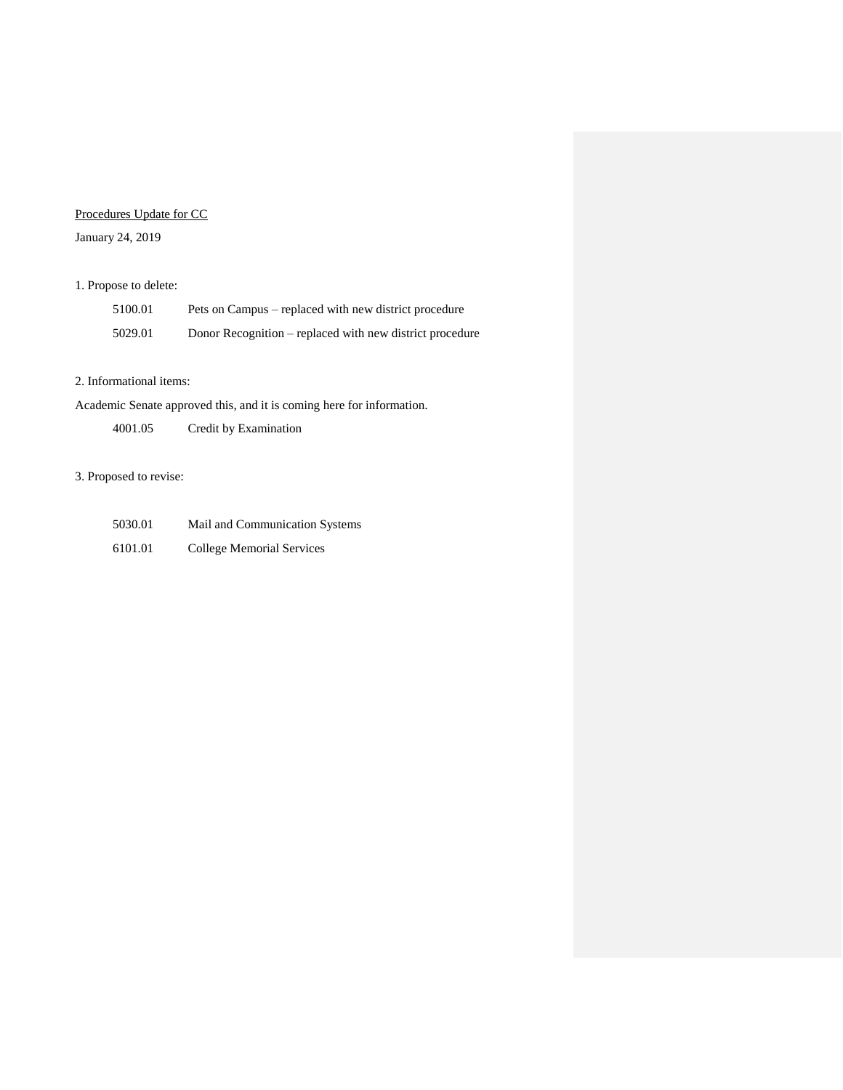## Procedures Update for CC

### January 24, 2019

## 1. Propose to delete:

| 5100.01 | Pets on Campus – replaced with new district procedure    |
|---------|----------------------------------------------------------|
| 5029.01 | Donor Recognition – replaced with new district procedure |

#### 2. Informational items:

Academic Senate approved this, and it is coming here for information.

4001.05 Credit by Examination

#### 3. Proposed to revise:

| 5030.01 | Mail and Communication Systems |
|---------|--------------------------------|
| 6101.01 | College Memorial Services      |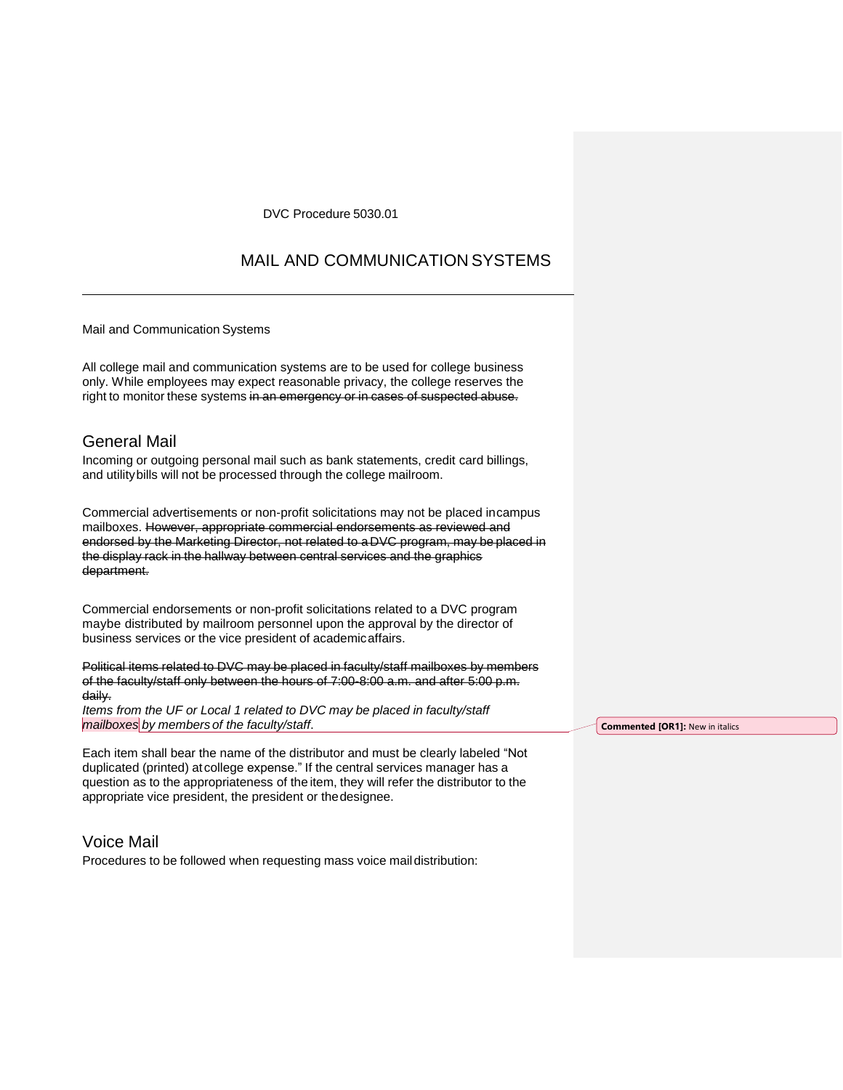#### DVC Procedure 5030.01

## MAIL AND COMMUNICATION SYSTEMS

Mail and Communication Systems

All college mail and communication systems are to be used for college business only. While employees may expect reasonable privacy, the college reserves the right to monitor these systems in an emergency or in cases of suspected abuse.

### General Mail

Incoming or outgoing personal mail such as bank statements, credit card billings, and utilitybills will not be processed through the college mailroom.

Commercial advertisements or non-profit solicitations may not be placed incampus mailboxes. However, appropriate commercial endorsements as reviewed and endorsed by the Marketing Director, not related to a DVC program, may be placed in the display rack in the hallway between central services and the graphics department.

Commercial endorsements or non-profit solicitations related to a DVC program maybe distributed by mailroom personnel upon the approval by the director of business services or the vice president of academicaffairs.

Political items related to DVC may be placed in faculty/staff mailboxes by members of the faculty/staff only between the hours of 7:00-8:00 a.m. and after 5:00 p.m. daily.

*Items from the UF or Local 1 related to DVC may be placed in faculty/staff mailboxes by members of the faculty/staff*.

Each item shall bear the name of the distributor and must be clearly labeled "Not duplicated (printed) at college expense." If the central services manager has a question as to the appropriateness of the item, they will refer the distributor to the appropriate vice president, the president or thedesignee.

### Voice Mail

Procedures to be followed when requesting mass voice mail distribution:

**Commented [OR1]:** New in italics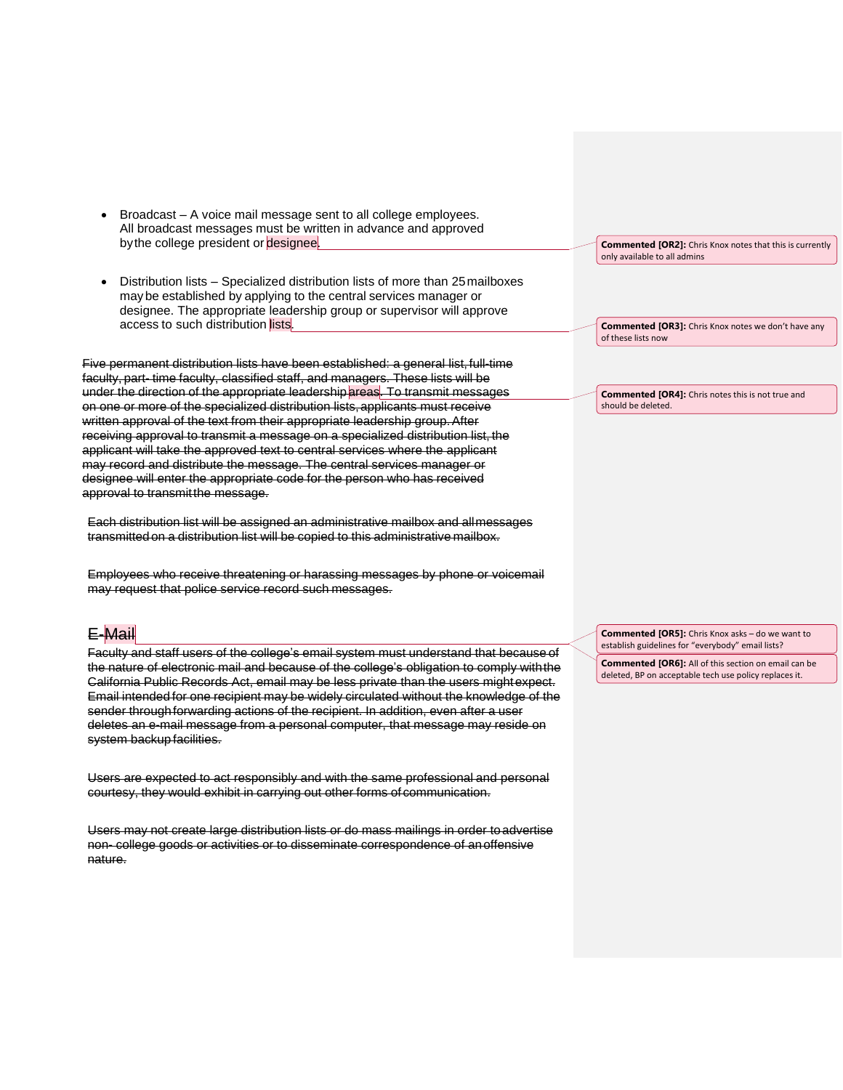- Broadcast A voice mail message sent to all college employees. All broadcast messages must be written in advance and approved by the college president or designee.
- Distribution lists Specialized distribution lists of more than 25mailboxes may be established by applying to the central services manager or designee. The appropriate leadership group or supervisor will approve access to such distribution lists.

Five permanent distribution lists have been established: a general list, full-time faculty, part- time faculty, classified staff, and managers. These lists will be under the direction of the appropriate leadershipareas. To transmit messages on one or more of the specialized distribution lists,applicants must receive written approval of the text from their appropriate leadership group.After receiving approval to transmit a message on a specialized distribution list, the applicant will take the approved text to central services where the applicant may record and distribute the message. The central services manager or designee will enter the appropriate code for the person who has received approval to transmitthe message.

Each distribution list will be assigned an administrative mailbox and allmessages transmittedon a distribution list will be copied to this administrative mailbox.

Employees who receive threatening or harassing messages by phone or voicemail may request that police service record such messages.

### E-Mail

Faculty and staff users of the college's email system must understand that because of the nature of electronic mail and because of the college's obligation to comply withthe California Public Records Act, email may be less private than the users mightexpect. Email intended for one recipient may be widely circulated without the knowledge of the sender through forwarding actions of the recipient. In addition, even after a user deletes an e-mail message from a personal computer, that message may reside on system backup facilities.

Users are expected to act responsibly and with the same professional and personal courtesy, they would exhibit in carrying out other forms of communication.

Users may not create large distribution lists or do mass mailings in order toadvertise non- college goods or activities or to disseminate correspondence of anoffensive nature.

**Commented [OR2]:** Chris Knox notes that this is currently only available to all admins

**Commented [OR3]:** Chris Knox notes we don't have any of these lists now

**Commented [OR4]:** Chris notes this is not true and should be deleted.

**Commented [OR5]:** Chris Knox asks – do we want to establish guidelines for "everybody" email lists?

**Commented [OR6]:** All of this section on email can be deleted, BP on acceptable tech use policy replaces it.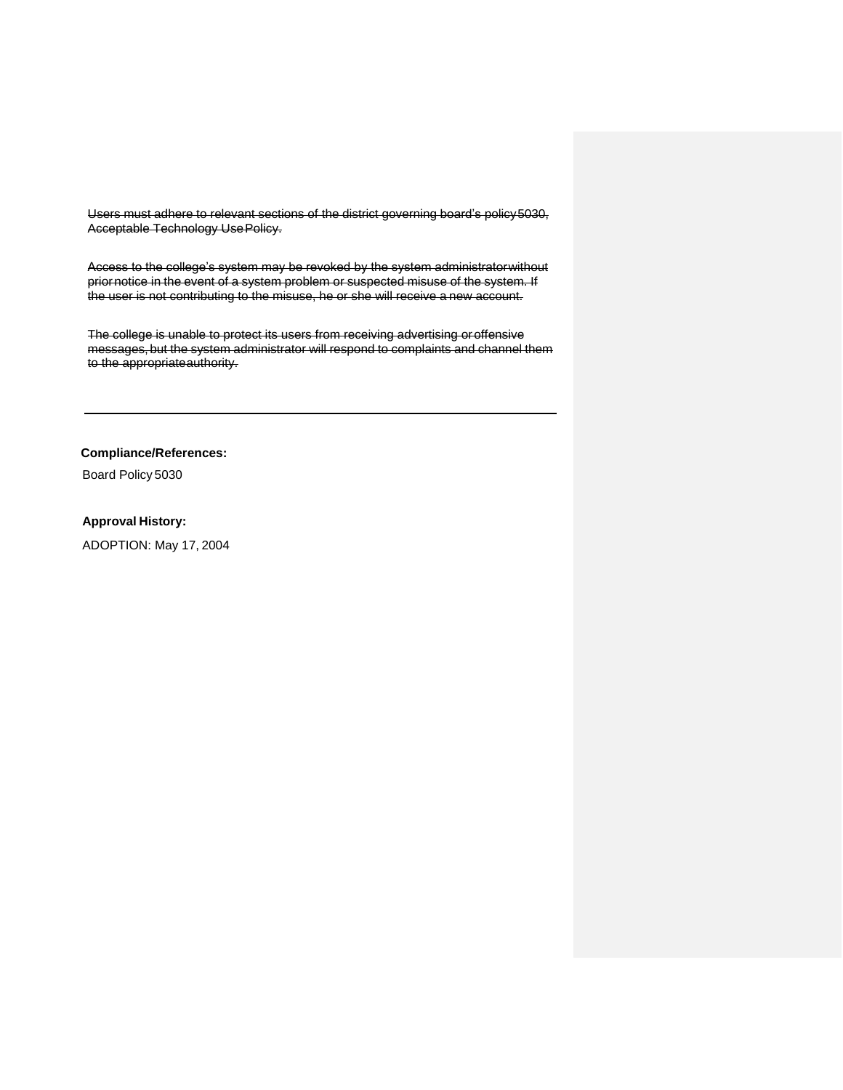Users must adhere to relevant sections of the district governing board's policy5030, Acceptable Technology UsePolicy.

Access to the college's system may be revoked by the system administratorwithout priornotice in the event of a system problem or suspected misuse of the system. If the user is not contributing to the misuse, he or she will receive a new account.

The college is unable to protect its users from receiving advertising oroffensive messages, but the system administrator will respond to complaints and channel them to the appropriateauthority.

**Compliance/References:**

Board Policy 5030

#### **Approval History:**

ADOPTION: May 17, 2004